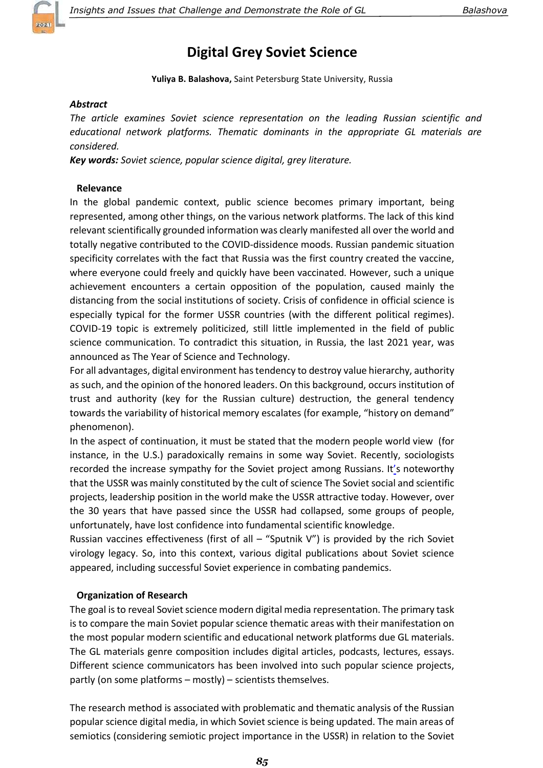

# Digital Grey Soviet Science

Yuliya B. Balashova, Saint Petersburg State University, Russia

## Abstract

The article examines Soviet science representation on the leading Russian scientific and educational network platforms. Thematic dominants in the appropriate GL materials are considered.

Key words: Soviet science, popular science digital, grey literature.

## Relevance

In the global pandemic context, public science becomes primary important, being represented, among other things, on the various network platforms. The lack of this kind relevant scientifically grounded information was clearly manifested all over the world and totally negative contributed to the COVID-dissidence moods. Russian pandemic situation specificity correlates with the fact that Russia was the first country created the vaccine, where everyone could freely and quickly have been vaccinated. However, such a unique achievement encounters a certain opposition of the population, caused mainly the distancing from the social institutions of society. Crisis of confidence in official science is especially typical for the former USSR countries (with the different political regimes). COVID-19 topic is extremely politicized, still little implemented in the field of public science communication. To contradict this situation, in Russia, the last 2021 year, was announced as The Year of Science and Technology.

For all advantages, digital environment has tendency to destroy value hierarchy, authority as such, and the opinion of the honored leaders. On this background, occurs institution of trust and authority (key for the Russian culture) destruction, the general tendency towards the variability of historical memory escalates (for example, "history on demand" phenomenon).

In the aspect of continuation, it must be stated that the modern people world view (for instance, in the U.S.) paradoxically remains in some way Soviet. Recently, sociologists recorded the increase sympathy for the Soviet project among Russians. It's noteworthy that the USSR was mainly constituted by the cult of science The Soviet social and scientific projects, leadership position in the world make the USSR attractive today. However, over the 30 years that have passed since the USSR had collapsed, some groups of people, unfortunately, have lost confidence into fundamental scientific knowledge.

Russian vaccines effectiveness (first of all  $-$  "Sputnik V") is provided by the rich Soviet virology legacy. So, into this context, various digital publications about Soviet science appeared, including successful Soviet experience in combating pandemics.

## Organization of Research

The goal is to reveal Soviet science modern digital media representation. The primary task is to compare the main Soviet popular science thematic areas with their manifestation on the most popular modern scientific and educational network platforms due GL materials. The GL materials genre composition includes digital articles, podcasts, lectures, essays. Different science communicators has been involved into such popular science projects, partly (on some platforms – mostly) – scientists themselves.

The research method is associated with problematic and thematic analysis of the Russian popular science digital media, in which Soviet science is being updated. The main areas of semiotics (considering semiotic project importance in the USSR) in relation to the Soviet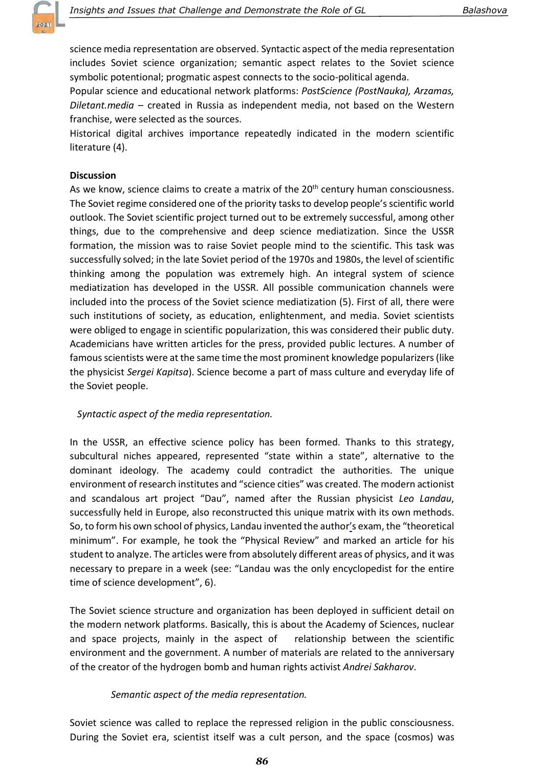

science media representation are observed. Syntactic aspect of the media representation includes Soviet science organization; semantic aspect relates to the Soviet science symbolic potentional; progmatic aspest connects to the socio-political agenda.

Popular science and educational network platforms: PostScience (PostNauka), Arzamas, Diletant.media – created in Russia as independent media, not based on the Western franchise, were selected as the sources.

Historical digital archives importance repeatedly indicated in the modern scientific literature (4).

### **Discussion**

As we know, science claims to create a matrix of the 20<sup>th</sup> century human consciousness. The Soviet regime considered one of the priority tasks to develop people's scientific world outlook. The Soviet scientific project turned out to be extremely successful, among other things, due to the comprehensive and deep science mediatization. Since the USSR formation, the mission was to raise Soviet people mind to the scientific. This task was successfully solved; in the late Soviet period of the 1970s and 1980s, the level of scientific thinking among the population was extremely high. An integral system of science mediatization has developed in the USSR. All possible communication channels were included into the process of the Soviet science mediatization (5). First of all, there were such institutions of society, as education, enlightenment, and media. Soviet scientists were obliged to engage in scientific popularization, this was considered their public duty. Academicians have written articles for the press, provided public lectures. A number of famous scientists were at the same time the most prominent knowledge popularizers (like the physicist Sergei Kapitsa). Science become a part of mass culture and everyday life of the Soviet people.

#### Syntactic aspect of the media representation.

In the USSR, an effective science policy has been formed. Thanks to this strategy, subcultural niches appeared, represented "state within a state", alternative to the dominant ideology. The academy could contradict the authorities. The unique environment of research institutes and "science cities" was created. The modern actionist and scandalous art project "Dau", named after the Russian physicist Leo Landau, successfully held in Europe, also reconstructed this unique matrix with its own methods. So, to form his own school of physics, Landau invented the author's exam, the "theoretical minimum". For example, he took the "Physical Review" and marked an article for his student to analyze. The articles were from absolutely different areas of physics, and it was necessary to prepare in a week (see: "Landau was the only encyclopedist for the entire time of science development", 6).

The Soviet science structure and organization has been deployed in sufficient detail on the modern network platforms. Basically, this is about the Academy of Sciences, nuclear and space projects, mainly in the aspect of relationship between the scientific environment and the government. A number of materials are related to the anniversary of the creator of the hydrogen bomb and human rights activist Andrei Sakharov.

#### Semantic aspect of the media representation.

Soviet science was called to replace the repressed religion in the public consciousness. During the Soviet era, scientist itself was a cult person, and the space (cosmos) was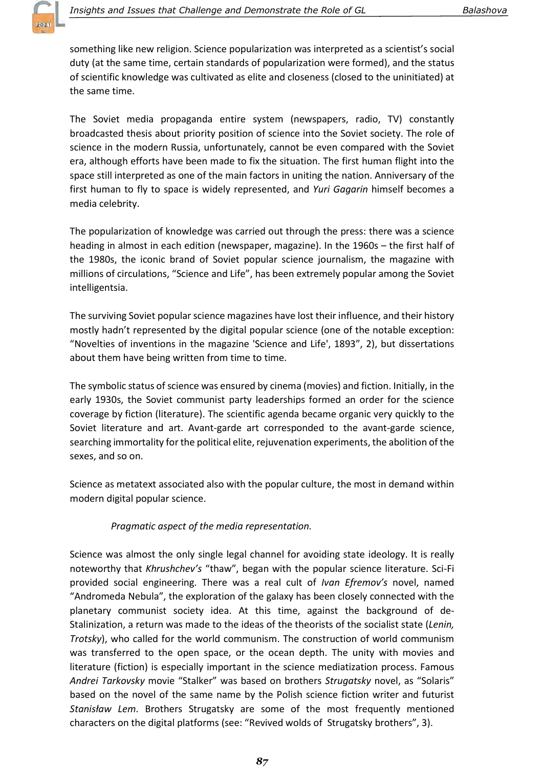

something like new religion. Science popularization was interpreted as a scientist's social duty (at the same time, certain standards of popularization were formed), and the status of scientific knowledge was cultivated as elite and closeness (closed to the uninitiated) at the same time.

The Soviet media propaganda entire system (newspapers, radio, TV) constantly broadcasted thesis about priority position of science into the Soviet society. The role of science in the modern Russia, unfortunately, cannot be even compared with the Soviet era, although efforts have been made to fix the situation. The first human flight into the space still interpreted as one of the main factors in uniting the nation. Anniversary of the first human to fly to space is widely represented, and Yuri Gagarin himself becomes a media celebrity.

The popularization of knowledge was carried out through the press: there was a science heading in almost in each edition (newspaper, magazine). In the 1960s – the first half of the 1980s, the iconic brand of Soviet popular science journalism, the magazine with millions of circulations, "Science and Life", has been extremely popular among the Soviet intelligentsia.

The surviving Soviet popular science magazines have lost their influence, and their history mostly hadn't represented by the digital popular science (one of the notable exception: "Novelties of inventions in the magazine 'Science and Life', 1893", 2), but dissertations about them have being written from time to time.

The symbolic status of science was ensured by cinema (movies) and fiction. Initially, in the early 1930s, the Soviet communist party leaderships formed an order for the science coverage by fiction (literature). The scientific agenda became organic very quickly to the Soviet literature and art. Avant-garde art corresponded to the avant-garde science, searching immortality for the political elite, rejuvenation experiments, the abolition of the sexes, and so on.

Science as metatext associated also with the popular culture, the most in demand within modern digital popular science.

## Pragmatic aspect of the media representation.

Science was almost the only single legal channel for avoiding state ideology. It is really noteworthy that Khrushchev's "thaw", began with the popular science literature. Sci-Fi provided social engineering. There was a real cult of Ivan Efremov's novel, named "Andromeda Nebula", the exploration of the galaxy has been closely connected with the planetary communist society idea. At this time, against the background of de-Stalinization, a return was made to the ideas of the theorists of the socialist state (Lenin, Trotsky), who called for the world communism. The construction of world communism was transferred to the open space, or the ocean depth. The unity with movies and literature (fiction) is especially important in the science mediatization process. Famous Andrei Tarkovsky movie "Stalker" was based on brothers Strugatsky novel, as "Solaris" based on the novel of the same name by the Polish science fiction writer and futurist Stanisław Lem. Brothers Strugatsky are some of the most frequently mentioned characters on the digital platforms (see: "Revived wolds of Strugatsky brothers", 3).